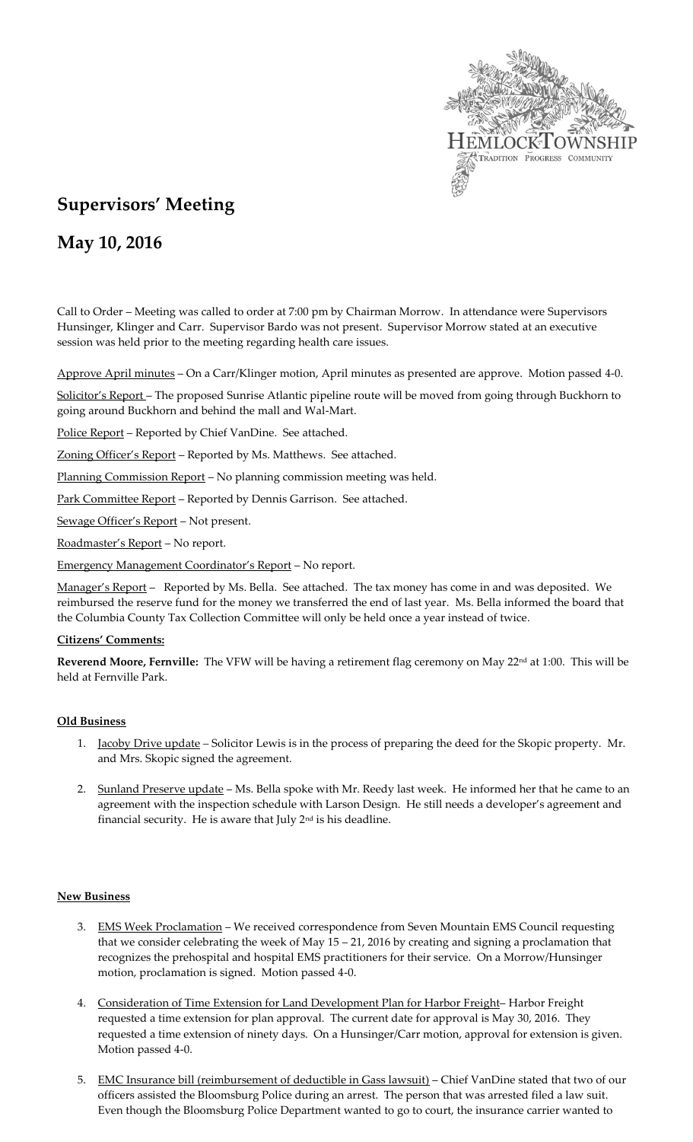

# **Supervisors' Meeting**

## **May 10, 2016**

Call to Order – Meeting was called to order at 7:00 pm by Chairman Morrow. In attendance were Supervisors Hunsinger, Klinger and Carr. Supervisor Bardo was not present. Supervisor Morrow stated at an executive session was held prior to the meeting regarding health care issues.

Approve April minutes – On a Carr/Klinger motion, April minutes as presented are approve. Motion passed 4-0.

Solicitor's Report – The proposed Sunrise Atlantic pipeline route will be moved from going through Buckhorn to going around Buckhorn and behind the mall and Wal-Mart.

Police Report - Reported by Chief VanDine. See attached.

Zoning Officer's Report – Reported by Ms. Matthews. See attached.

Planning Commission Report – No planning commission meeting was held.

Park Committee Report - Reported by Dennis Garrison. See attached.

Sewage Officer's Report – Not present.

Roadmaster's Report – No report.

Emergency Management Coordinator's Report – No report.

Manager's Report - Reported by Ms. Bella. See attached. The tax money has come in and was deposited. We reimbursed the reserve fund for the money we transferred the end of last year. Ms. Bella informed the board that the Columbia County Tax Collection Committee will only be held once a year instead of twice.

#### **Citizens' Comments:**

**Reverend Moore, Fernville:** The VFW will be having a retirement flag ceremony on May 22nd at 1:00. This will be held at Fernville Park.

#### **Old Business**

- 1. Jacoby Drive update *–* Solicitor Lewis is in the process of preparing the deed for the Skopic property. Mr. and Mrs. Skopic signed the agreement.
- 2. Sunland Preserve update Ms. Bella spoke with Mr. Reedy last week. He informed her that he came to an agreement with the inspection schedule with Larson Design. He still needs a developer's agreement and financial security. He is aware that July 2nd is his deadline.

#### **New Business**

- 3. EMS Week Proclamation We received correspondence from Seven Mountain EMS Council requesting that we consider celebrating the week of May 15 – 21, 2016 by creating and signing a proclamation that recognizes the prehospital and hospital EMS practitioners for their service. On a Morrow/Hunsinger motion, proclamation is signed. Motion passed 4-0.
- 4. Consideration of Time Extension for Land Development Plan for Harbor Freight-Harbor Freight requested a time extension for plan approval. The current date for approval is May 30, 2016. They requested a time extension of ninety days. On a Hunsinger/Carr motion, approval for extension is given. Motion passed 4-0.
- 5. EMC Insurance bill (reimbursement of deductible in Gass lawsuit) Chief VanDine stated that two of our officers assisted the Bloomsburg Police during an arrest. The person that was arrested filed a law suit. Even though the Bloomsburg Police Department wanted to go to court, the insurance carrier wanted to